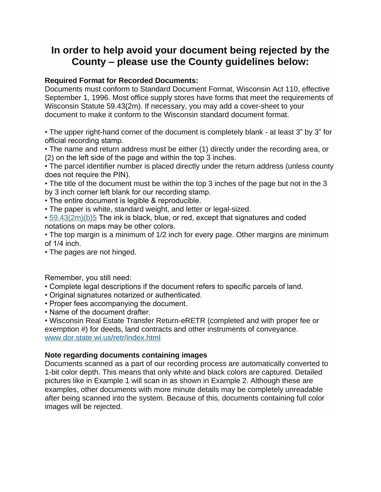## **In order to help avoid your document being rejected by the County – please use the County guidelines below:**

## **Required Format for Recorded Documents:**

Documents must conform to Standard Document Format, Wisconsin Act 110, effective September 1, 1996. Most office supply stores have forms that meet the requirements of Wisconsin Statute 59.43(2m). If necessary, you may add a cover-sheet to your document to make it conform to the Wisconsin standard document format.

• The upper right-hand corner of the document is completely blank - at least 3" by 3" for official recording stamp.

• The name and return address must be either (1) directly under the recording area, or (2) on the left side of the page and within the top 3 inches.

• The parcel identifier number is placed directly under the return address (unless county does not require the PIN).

• The title of the document must be within the top 3 inches of the page but not in the 3 by 3 inch corner left blank for our recording stamp.

- The entire document is legible & reproducible.
- The paper is white, standard weight, and letter or legal-sized.
- [59.43\(2m\)\(b\)5](https://docs.legis.wisconsin.gov/statutes/statutes/59/IV/43/2m/b/5) The ink is black, blue, or red, except that signatures and coded notations on maps may be other colors.

• The top margin is a minimum of 1/2 inch for every page. Other margins are minimum of 1/4 inch.

• The pages are not hinged.

Remember, you still need:

- Complete legal descriptions if the document refers to specific parcels of land.
- Original signatures notarized or authenticated.
- Proper fees accompanying the document.
- Name of the document drafter.

• Wisconsin Real Estate Transfer Return-eRETR (completed and with proper fee or exemption #) for deeds, land contracts and other instruments of conveyance. [www.dor.state.wi.us/retr/index.html](http://www.dor.state.wi.us/retr/index.html)

## **Note regarding documents containing images**

Documents scanned as a part of our recording process are automatically converted to 1-bit color depth. This means that only white and black colors are captured. Detailed pictures like in Example 1 will scan in as shown in Example 2. Although these are examples, other documents with more minute details may be completely unreadable after being scanned into the system. Because of this, documents containing full color images will be rejected.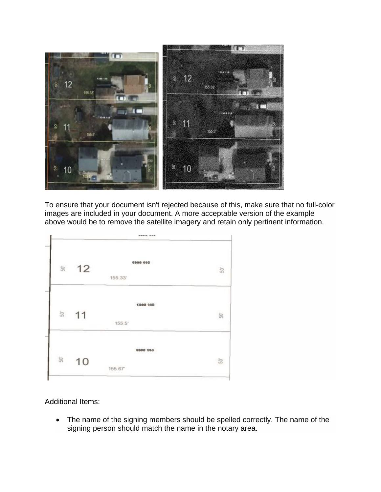

To ensure that your document isn't rejected because of this, make sure that no full-color images are included in your document. A more acceptable version of the example above would be to remove the satellite imagery and retain only pertinent information.



Additional Items:

• The name of the signing members should be spelled correctly. The name of the signing person should match the name in the notary area.